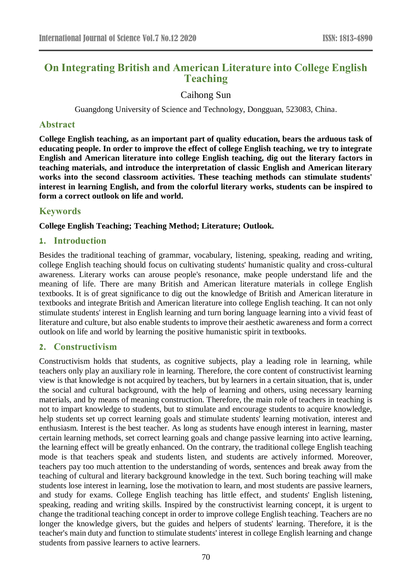# **On Integrating British and American Literature into College English Teaching**

Caihong Sun

Guangdong University of Science and Technology, Dongguan, 523083, China.

#### **Abstract**

**College English teaching, as an important part of quality education, bears the arduous task of educating people. In order to improve the effect of college English teaching, we try to integrate English and American literature into college English teaching, dig out the literary factors in teaching materials, and introduce the interpretation of classic English and American literary works into the second classroom activities. These teaching methods can stimulate students' interest in learning English, and from the colorful literary works, students can be inspired to form a correct outlook on life and world.**

## **Keywords**

**College English Teaching; Teaching Method; Literature; Outlook.**

### **1. Introduction**

Besides the traditional teaching of grammar, vocabulary, listening, speaking, reading and writing, college English teaching should focus on cultivating students' humanistic quality and cross-cultural awareness. Literary works can arouse people's resonance, make people understand life and the meaning of life. There are many British and American literature materials in college English textbooks. It is of great significance to dig out the knowledge of British and American literature in textbooks and integrate British and American literature into college English teaching. It can not only stimulate students' interest in English learning and turn boring language learning into a vivid feast of literature and culture, but also enable students to improve their aesthetic awareness and form a correct outlook on life and world by learning the positive humanistic spirit in textbooks.

## **2. Constructivism**

Constructivism holds that students, as cognitive subjects, play a leading role in learning, while teachers only play an auxiliary role in learning. Therefore, the core content of constructivist learning view is that knowledge is not acquired by teachers, but by learners in a certain situation, that is, under the social and cultural background, with the help of learning and others, using necessary learning materials, and by means of meaning construction. Therefore, the main role of teachers in teaching is not to impart knowledge to students, but to stimulate and encourage students to acquire knowledge, help students set up correct learning goals and stimulate students' learning motivation, interest and enthusiasm. Interest is the best teacher. As long as students have enough interest in learning, master certain learning methods, set correct learning goals and change passive learning into active learning, the learning effect will be greatly enhanced. On the contrary, the traditional college English teaching mode is that teachers speak and students listen, and students are actively informed. Moreover, teachers pay too much attention to the understanding of words, sentences and break away from the teaching of cultural and literary background knowledge in the text. Such boring teaching will make students lose interest in learning, lose the motivation to learn, and most students are passive learners, and study for exams. College English teaching has little effect, and students' English listening, speaking, reading and writing skills. Inspired by the constructivist learning concept, it is urgent to change the traditional teaching concept in order to improve college English teaching. Teachers are no longer the knowledge givers, but the guides and helpers of students' learning. Therefore, it is the teacher's main duty and function to stimulate students' interest in college English learning and change students from passive learners to active learners.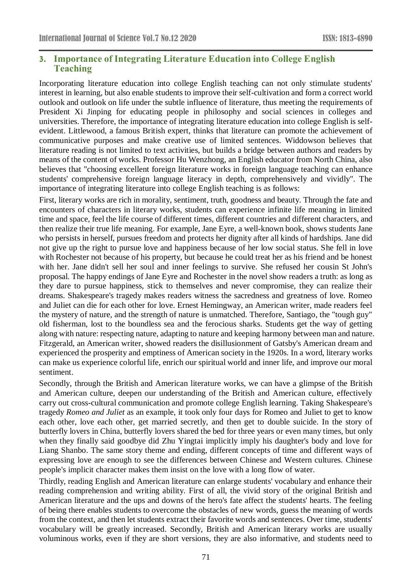## **3. Importance of Integrating Literature Education into College English Teaching**

Incorporating literature education into college English teaching can not only stimulate students' interest in learning, but also enable students to improve their self-cultivation and form a correct world outlook and outlook on life under the subtle influence of literature, thus meeting the requirements of President Xi Jinping for educating people in philosophy and social sciences in colleges and universities. Therefore, the importance of integrating literature education into college English is selfevident. Littlewood, a famous British expert, thinks that literature can promote the achievement of communicative purposes and make creative use of limited sentences. Widdowson believes that literature reading is not limited to text activities, but builds a bridge between authors and readers by means of the content of works. Professor Hu Wenzhong, an English educator from North China, also believes that "choosing excellent foreign literature works in foreign language teaching can enhance students' comprehensive foreign language literacy in depth, comprehensively and vividly". The importance of integrating literature into college English teaching is as follows:

First, literary works are rich in morality, sentiment, truth, goodness and beauty. Through the fate and encounters of characters in literary works, students can experience infinite life meaning in limited time and space, feel the life course of different times, different countries and different characters, and then realize their true life meaning. For example, Jane Eyre, a well-known book, shows students Jane who persists in herself, pursues freedom and protects her dignity after all kinds of hardships. Jane did not give up the right to pursue love and happiness because of her low social status. She fell in love with Rochester not because of his property, but because he could treat her as his friend and be honest with her. Jane didn't sell her soul and inner feelings to survive. She refused her cousin St John's proposal. The happy endings of Jane Eyre and Rochester in the novel show readers a truth: as long as they dare to pursue happiness, stick to themselves and never compromise, they can realize their dreams. Shakespeare's tragedy makes readers witness the sacredness and greatness of love. Romeo and Juliet can die for each other for love. Ernest Hemingway, an American writer, made readers feel the mystery of nature, and the strength of nature is unmatched. Therefore, Santiago, the "tough guy" old fisherman, lost to the boundless sea and the ferocious sharks. Students get the way of getting along with nature: respecting nature, adapting to nature and keeping harmony between man and nature. Fitzgerald, an American writer, showed readers the disillusionment of Gatsby's American dream and experienced the prosperity and emptiness of American society in the 1920s. In a word, literary works can make us experience colorful life, enrich our spiritual world and inner life, and improve our moral sentiment.

Secondly, through the British and American literature works, we can have a glimpse of the British and American culture, deepen our understanding of the British and American culture, effectively carry out cross-cultural communication and promote college English learning. Taking Shakespeare's tragedy *Romeo and Juliet* as an example, it took only four days for Romeo and Juliet to get to know each other, love each other, get married secretly, and then get to double suicide. In the story of butterfly lovers in China, butterfly lovers shared the bed for three years or even many times, but only when they finally said goodbye did Zhu Yingtai implicitly imply his daughter's body and love for Liang Shanbo. The same story theme and ending, different concepts of time and different ways of expressing love are enough to see the differences between Chinese and Western cultures. Chinese people's implicit character makes them insist on the love with a long flow of water.

Thirdly, reading English and American literature can enlarge students' vocabulary and enhance their reading comprehension and writing ability. First of all, the vivid story of the original British and American literature and the ups and downs of the hero's fate affect the students' hearts. The feeling of being there enables students to overcome the obstacles of new words, guess the meaning of words from the context, and then let students extract their favorite words and sentences. Over time, students' vocabulary will be greatly increased. Secondly, British and American literary works are usually voluminous works, even if they are short versions, they are also informative, and students need to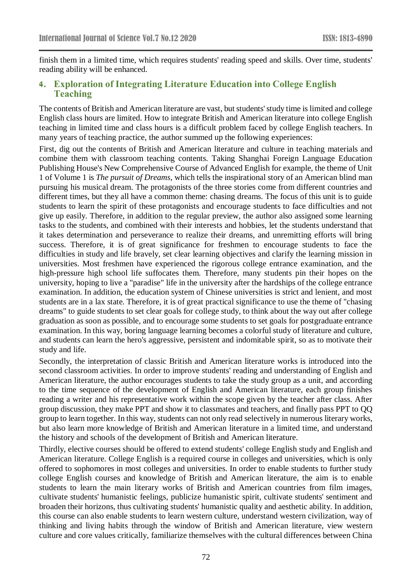finish them in a limited time, which requires students' reading speed and skills. Over time, students' reading ability will be enhanced.

# **4. Exploration of Integrating Literature Education into College English Teaching**

The contents of British and American literature are vast, but students' study time is limited and college English class hours are limited. How to integrate British and American literature into college English teaching in limited time and class hours is a difficult problem faced by college English teachers. In many years of teaching practice, the author summed up the following experiences:

First, dig out the contents of British and American literature and culture in teaching materials and combine them with classroom teaching contents. Taking Shanghai Foreign Language Education Publishing House's New Comprehensive Course of Advanced English for example, the theme of Unit 1 of Volume 1 is *The pursuit of Dreams*, which tells the inspirational story of an American blind man pursuing his musical dream. The protagonists of the three stories come from different countries and different times, but they all have a common theme: chasing dreams. The focus of this unit is to guide students to learn the spirit of these protagonists and encourage students to face difficulties and not give up easily. Therefore, in addition to the regular preview, the author also assigned some learning tasks to the students, and combined with their interests and hobbies, let the students understand that it takes determination and perseverance to realize their dreams, and unremitting efforts will bring success. Therefore, it is of great significance for freshmen to encourage students to face the difficulties in study and life bravely, set clear learning objectives and clarify the learning mission in universities. Most freshmen have experienced the rigorous college entrance examination, and the high-pressure high school life suffocates them. Therefore, many students pin their hopes on the university, hoping to live a "paradise" life in the university after the hardships of the college entrance examination. In addition, the education system of Chinese universities is strict and lenient, and most students are in a lax state. Therefore, it is of great practical significance to use the theme of "chasing dreams" to guide students to set clear goals for college study, to think about the way out after college graduation as soon as possible, and to encourage some students to set goals for postgraduate entrance examination. In this way, boring language learning becomes a colorful study of literature and culture, and students can learn the hero's aggressive, persistent and indomitable spirit, so as to motivate their study and life.

Secondly, the interpretation of classic British and American literature works is introduced into the second classroom activities. In order to improve students' reading and understanding of English and American literature, the author encourages students to take the study group as a unit, and according to the time sequence of the development of English and American literature, each group finishes reading a writer and his representative work within the scope given by the teacher after class. After group discussion, they make PPT and show it to classmates and teachers, and finally pass PPT to QQ group to learn together. In this way, students can not only read selectively in numerous literary works, but also learn more knowledge of British and American literature in a limited time, and understand the history and schools of the development of British and American literature.

Thirdly, elective courses should be offered to extend students' college English study and English and American literature. College English is a required course in colleges and universities, which is only offered to sophomores in most colleges and universities. In order to enable students to further study college English courses and knowledge of British and American literature, the aim is to enable students to learn the main literary works of British and American countries from film images, cultivate students' humanistic feelings, publicize humanistic spirit, cultivate students' sentiment and broaden their horizons, thus cultivating students' humanistic quality and aesthetic ability. In addition, this course can also enable students to learn western culture, understand western civilization, way of thinking and living habits through the window of British and American literature, view western culture and core values critically, familiarize themselves with the cultural differences between China